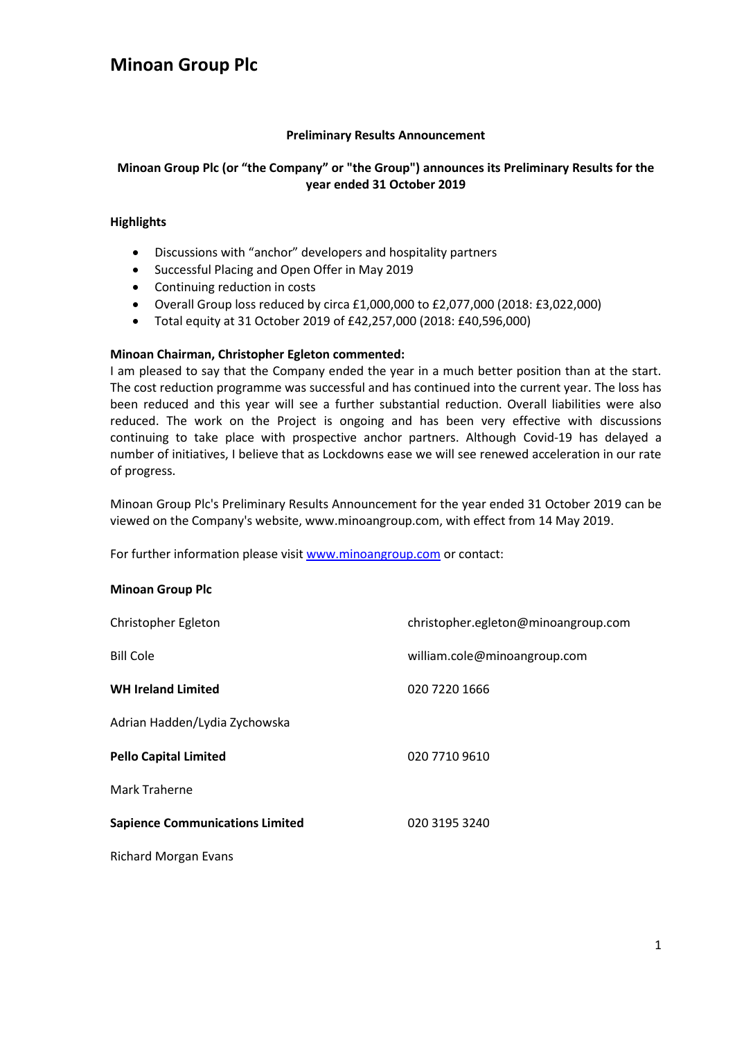#### **Preliminary Results Announcement**

### **Minoan Group Plc (or "the Company" or "the Group") announces its Preliminary Results for the year ended 31 October 2019**

#### **Highlights**

- Discussions with "anchor" developers and hospitality partners
- Successful Placing and Open Offer in May 2019
- Continuing reduction in costs
- Overall Group loss reduced by circa £1,000,000 to £2,077,000 (2018: £3,022,000)
- Total equity at 31 October 2019 of £42,257,000 (2018: £40,596,000)

#### **Minoan Chairman, Christopher Egleton commented:**

I am pleased to say that the Company ended the year in a much better position than at the start. The cost reduction programme was successful and has continued into the current year. The loss has been reduced and this year will see a further substantial reduction. Overall liabilities were also reduced. The work on the Project is ongoing and has been very effective with discussions continuing to take place with prospective anchor partners. Although Covid-19 has delayed a number of initiatives, I believe that as Lockdowns ease we will see renewed acceleration in our rate of progress.

Minoan Group Plc's Preliminary Results Announcement for the year ended 31 October 2019 can be viewed on the Company's website, www.minoangroup.com, with effect from 14 May 2019.

For further information please visit [www.minoangroup.com](http://www.minoangroup.com/) or contact:

#### **Minoan Group Plc**

| Christopher Egleton                    | christopher.egleton@minoangroup.com |
|----------------------------------------|-------------------------------------|
| <b>Bill Cole</b>                       | william.cole@minoangroup.com        |
| <b>WH Ireland Limited</b>              | 020 7220 1666                       |
| Adrian Hadden/Lydia Zychowska          |                                     |
| <b>Pello Capital Limited</b>           | 020 7710 9610                       |
| Mark Traherne                          |                                     |
| <b>Sapience Communications Limited</b> | 020 3195 3240                       |
|                                        |                                     |

Richard Morgan Evans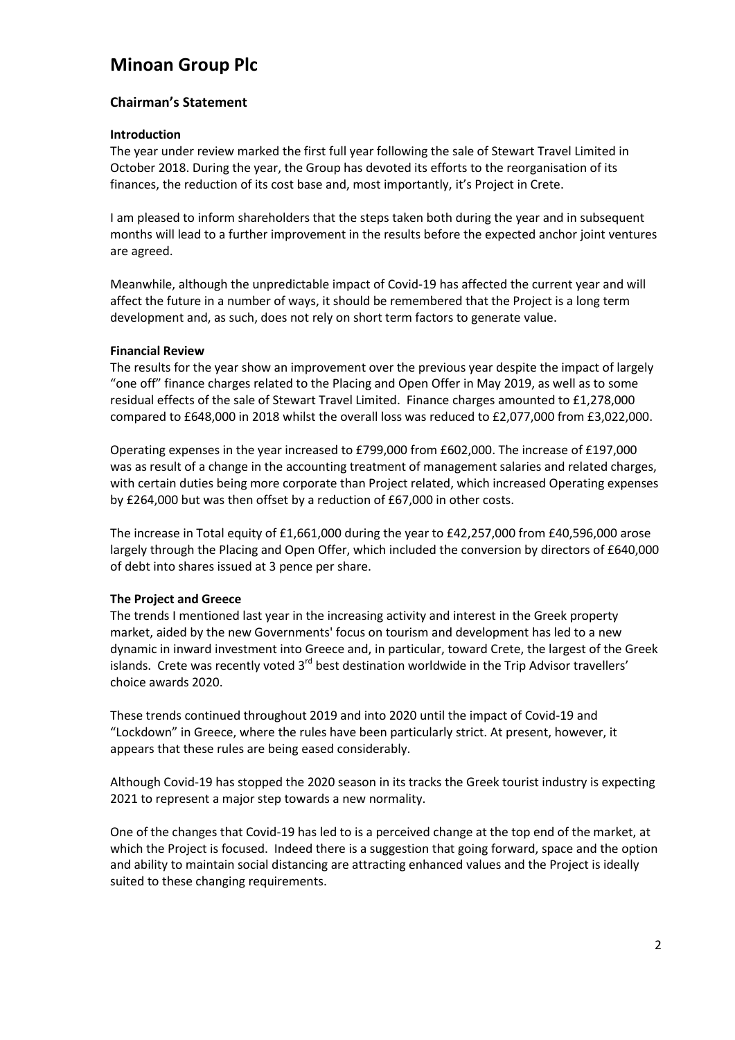#### **Chairman's Statement**

#### **Introduction**

The year under review marked the first full year following the sale of Stewart Travel Limited in October 2018. During the year, the Group has devoted its efforts to the reorganisation of its finances, the reduction of its cost base and, most importantly, it's Project in Crete.

I am pleased to inform shareholders that the steps taken both during the year and in subsequent months will lead to a further improvement in the results before the expected anchor joint ventures are agreed.

Meanwhile, although the unpredictable impact of Covid-19 has affected the current year and will affect the future in a number of ways, it should be remembered that the Project is a long term development and, as such, does not rely on short term factors to generate value.

#### **Financial Review**

The results for the year show an improvement over the previous year despite the impact of largely "one off" finance charges related to the Placing and Open Offer in May 2019, as well as to some residual effects of the sale of Stewart Travel Limited. Finance charges amounted to £1,278,000 compared to £648,000 in 2018 whilst the overall loss was reduced to £2,077,000 from £3,022,000.

Operating expenses in the year increased to £799,000 from £602,000. The increase of £197,000 was as result of a change in the accounting treatment of management salaries and related charges, with certain duties being more corporate than Project related, which increased Operating expenses by £264,000 but was then offset by a reduction of £67,000 in other costs.

The increase in Total equity of £1,661,000 during the year to £42,257,000 from £40,596,000 arose largely through the Placing and Open Offer, which included the conversion by directors of £640,000 of debt into shares issued at 3 pence per share.

#### **The Project and Greece**

The trends I mentioned last year in the increasing activity and interest in the Greek property market, aided by the new Governments' focus on tourism and development has led to a new dynamic in inward investment into Greece and, in particular, toward Crete, the largest of the Greek islands. Crete was recently voted  $3<sup>rd</sup>$  best destination worldwide in the Trip Advisor travellers' choice awards 2020.

These trends continued throughout 2019 and into 2020 until the impact of Covid-19 and "Lockdown" in Greece, where the rules have been particularly strict. At present, however, it appears that these rules are being eased considerably.

Although Covid-19 has stopped the 2020 season in its tracks the Greek tourist industry is expecting 2021 to represent a major step towards a new normality.

One of the changes that Covid-19 has led to is a perceived change at the top end of the market, at which the Project is focused. Indeed there is a suggestion that going forward, space and the option and ability to maintain social distancing are attracting enhanced values and the Project is ideally suited to these changing requirements.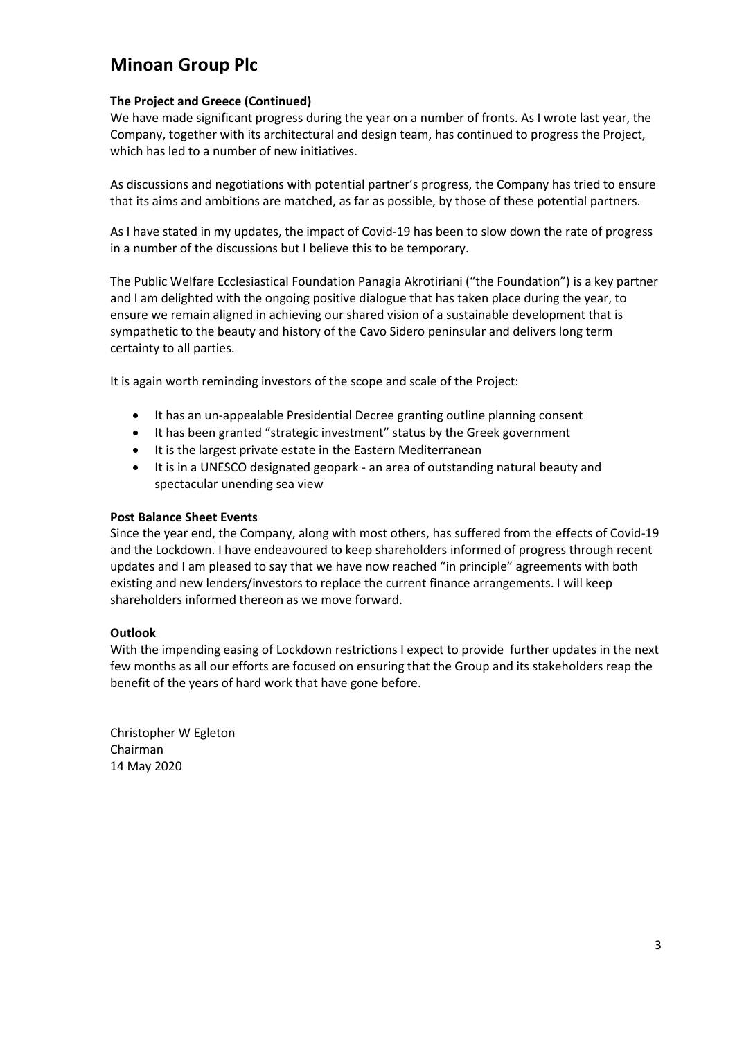#### **The Project and Greece (Continued)**

We have made significant progress during the year on a number of fronts. As I wrote last year, the Company, together with its architectural and design team, has continued to progress the Project, which has led to a number of new initiatives.

As discussions and negotiations with potential partner's progress, the Company has tried to ensure that its aims and ambitions are matched, as far as possible, by those of these potential partners.

As I have stated in my updates, the impact of Covid-19 has been to slow down the rate of progress in a number of the discussions but I believe this to be temporary.

The Public Welfare Ecclesiastical Foundation Panagia Akrotiriani ("the Foundation") is a key partner and I am delighted with the ongoing positive dialogue that has taken place during the year, to ensure we remain aligned in achieving our shared vision of a sustainable development that is sympathetic to the beauty and history of the Cavo Sidero peninsular and delivers long term certainty to all parties.

It is again worth reminding investors of the scope and scale of the Project:

- It has an un-appealable Presidential Decree granting outline planning consent
- It has been granted "strategic investment" status by the Greek government
- It is the largest private estate in the Eastern Mediterranean
- It is in a UNESCO designated geopark an area of outstanding natural beauty and spectacular unending sea view

#### **Post Balance Sheet Events**

Since the year end, the Company, along with most others, has suffered from the effects of Covid-19 and the Lockdown. I have endeavoured to keep shareholders informed of progress through recent updates and I am pleased to say that we have now reached "in principle" agreements with both existing and new lenders/investors to replace the current finance arrangements. I will keep shareholders informed thereon as we move forward.

#### **Outlook**

With the impending easing of Lockdown restrictions I expect to provide further updates in the next few months as all our efforts are focused on ensuring that the Group and its stakeholders reap the benefit of the years of hard work that have gone before.

Christopher W Egleton Chairman 14 May 2020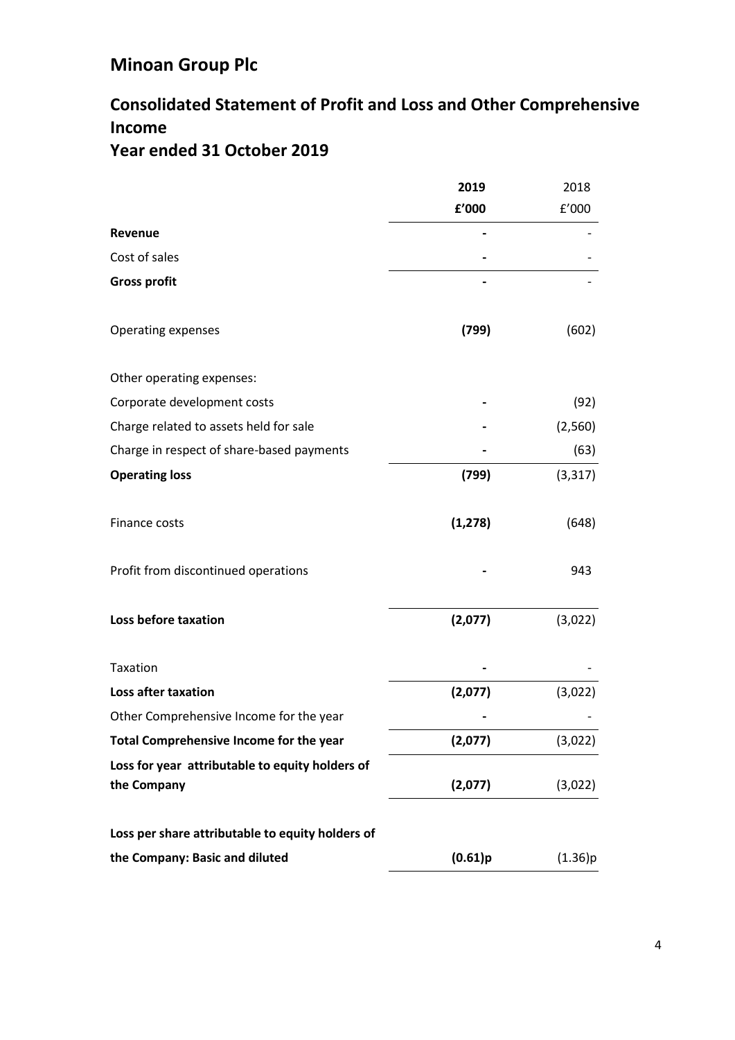## **Consolidated Statement of Profit and Loss and Other Comprehensive Income Year ended 31 October 2019**

|                                                                | 2019     | 2018     |
|----------------------------------------------------------------|----------|----------|
|                                                                | f'000    | f'000    |
| Revenue                                                        |          |          |
| Cost of sales                                                  |          |          |
| <b>Gross profit</b>                                            |          |          |
| Operating expenses                                             | (799)    | (602)    |
| Other operating expenses:                                      |          |          |
| Corporate development costs                                    |          | (92)     |
| Charge related to assets held for sale                         |          | (2,560)  |
| Charge in respect of share-based payments                      |          | (63)     |
| <b>Operating loss</b>                                          | (799)    | (3, 317) |
| Finance costs                                                  | (1, 278) | (648)    |
| Profit from discontinued operations                            |          | 943      |
| Loss before taxation                                           | (2,077)  | (3,022)  |
| Taxation                                                       |          |          |
| <b>Loss after taxation</b>                                     | (2,077)  | (3,022)  |
| Other Comprehensive Income for the year                        |          |          |
| Total Comprehensive Income for the year                        | (2,077)  | (3,022)  |
| Loss for year attributable to equity holders of<br>the Company | (2,077)  | (3,022)  |
| Loss per share attributable to equity holders of               |          |          |
| the Company: Basic and diluted                                 | (0.61)p  | (1.36)p  |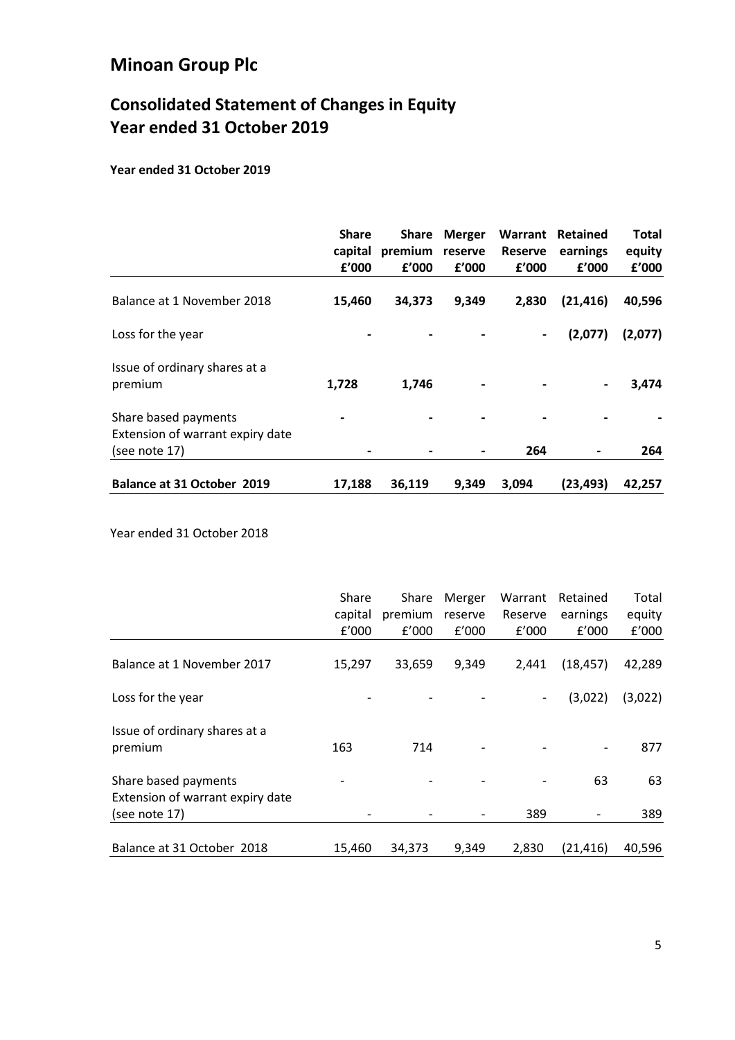# **Consolidated Statement of Changes in Equity Year ended 31 October 2019**

**Year ended 31 October 2019**

|                                                                           | <b>Share</b><br>capital<br>£'000 | <b>Share</b><br>premium<br>f'000 | <b>Merger</b><br>reserve<br>f'000 | Warrant<br><b>Reserve</b><br>£'000 | Retained<br>earnings<br>f'000 | Total<br>equity<br>£'000 |
|---------------------------------------------------------------------------|----------------------------------|----------------------------------|-----------------------------------|------------------------------------|-------------------------------|--------------------------|
| Balance at 1 November 2018                                                | 15,460                           | 34,373                           | 9,349                             | 2,830                              | (21, 416)                     | 40,596                   |
| Loss for the year                                                         |                                  |                                  |                                   | $\blacksquare$                     | (2,077)                       | (2,077)                  |
| Issue of ordinary shares at a<br>premium                                  | 1,728                            | 1,746                            |                                   |                                    | $\blacksquare$                | 3,474                    |
| Share based payments<br>Extension of warrant expiry date<br>(see note 17) |                                  |                                  |                                   | 264                                |                               | 264                      |
| Balance at 31 October 2019                                                | 17,188                           | 36.119                           | 9,349                             | 3.094                              | (23, 493)                     | 42,257                   |

Year ended 31 October 2018

|                                                          | Share<br>capital<br>f'000 | Share<br>premium<br>f'000 | Merger<br>reserve<br>f'000 | Warrant<br>Reserve<br>f'000 | Retained<br>earnings<br>f'000 | Total<br>equity<br>£'000 |
|----------------------------------------------------------|---------------------------|---------------------------|----------------------------|-----------------------------|-------------------------------|--------------------------|
| Balance at 1 November 2017                               | 15,297                    | 33,659                    | 9,349                      | 2,441                       | (18, 457)                     | 42,289                   |
| Loss for the year                                        |                           |                           |                            | $\overline{\phantom{a}}$    | (3,022)                       | (3,022)                  |
| Issue of ordinary shares at a<br>premium                 | 163                       | 714                       |                            |                             | $\overline{\phantom{a}}$      | 877                      |
| Share based payments<br>Extension of warrant expiry date |                           |                           |                            |                             | 63                            | 63                       |
| (see note 17)                                            |                           |                           |                            | 389                         |                               | 389                      |
| Balance at 31 October 2018                               | 15,460                    | 34,373                    | 9,349                      | 2,830                       | (21, 416)                     | 40,596                   |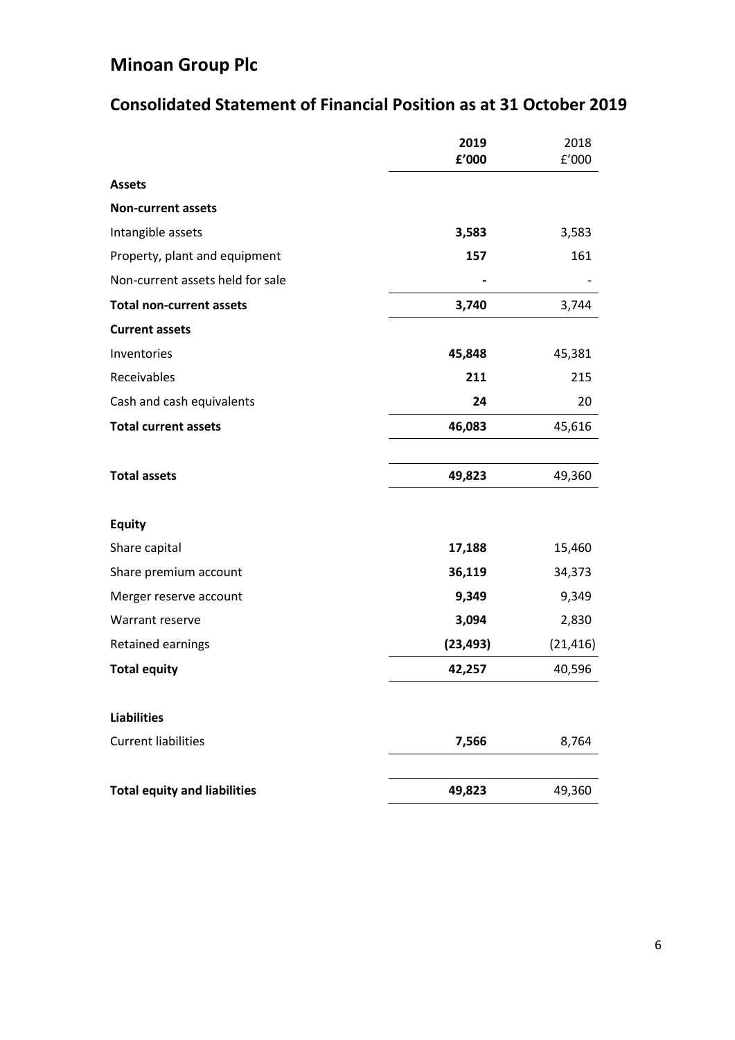# **Consolidated Statement of Financial Position as at 31 October 2019**

|                                     | 2019<br>f'000 | 2018<br>f'000 |
|-------------------------------------|---------------|---------------|
| <b>Assets</b>                       |               |               |
| <b>Non-current assets</b>           |               |               |
| Intangible assets                   | 3,583         | 3,583         |
| Property, plant and equipment       | 157           | 161           |
| Non-current assets held for sale    |               |               |
| <b>Total non-current assets</b>     | 3,740         | 3,744         |
| <b>Current assets</b>               |               |               |
| Inventories                         | 45,848        | 45,381        |
| Receivables                         | 211           | 215           |
| Cash and cash equivalents           | 24            | 20            |
| <b>Total current assets</b>         | 46,083        | 45,616        |
| <b>Total assets</b>                 | 49,823        | 49,360        |
| <b>Equity</b>                       |               |               |
| Share capital                       | 17,188        | 15,460        |
| Share premium account               | 36,119        | 34,373        |
| Merger reserve account              | 9,349         | 9,349         |
| Warrant reserve                     | 3,094         | 2,830         |
| Retained earnings                   | (23, 493)     | (21, 416)     |
| <b>Total equity</b>                 | 42,257        | 40,596        |
| <b>Liabilities</b>                  |               |               |
| <b>Current liabilities</b>          | 7,566         | 8,764         |
| <b>Total equity and liabilities</b> | 49,823        | 49,360        |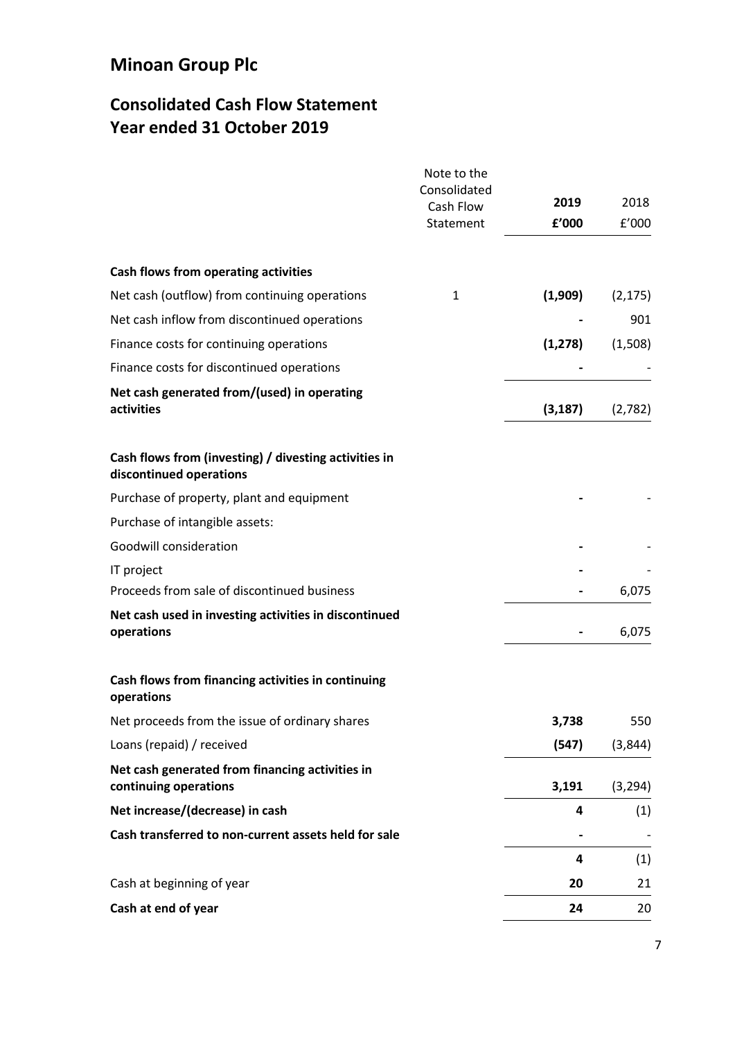## **Consolidated Cash Flow Statement Year ended 31 October 2019**

|                                                                                  | Note to the               |          |          |
|----------------------------------------------------------------------------------|---------------------------|----------|----------|
|                                                                                  | Consolidated<br>Cash Flow | 2019     | 2018     |
|                                                                                  | Statement                 | f'000    | f'000    |
| Cash flows from operating activities                                             |                           |          |          |
| Net cash (outflow) from continuing operations                                    | 1                         | (1,909)  | (2, 175) |
| Net cash inflow from discontinued operations                                     |                           |          | 901      |
| Finance costs for continuing operations                                          |                           | (1, 278) | (1,508)  |
| Finance costs for discontinued operations                                        |                           |          |          |
| Net cash generated from/(used) in operating<br>activities                        |                           | (3, 187) | (2,782)  |
| Cash flows from (investing) / divesting activities in<br>discontinued operations |                           |          |          |
| Purchase of property, plant and equipment                                        |                           |          |          |
| Purchase of intangible assets:                                                   |                           |          |          |
| Goodwill consideration                                                           |                           |          |          |
| IT project                                                                       |                           |          |          |
| Proceeds from sale of discontinued business                                      |                           |          | 6,075    |
| Net cash used in investing activities in discontinued<br>operations              |                           |          | 6,075    |
| Cash flows from financing activities in continuing<br>operations                 |                           |          |          |
| Net proceeds from the issue of ordinary shares                                   |                           | 3,738    | 550      |
| Loans (repaid) / received                                                        |                           | (547)    | (3,844)  |
| Net cash generated from financing activities in<br>continuing operations         |                           | 3,191    | (3, 294) |
| Net increase/(decrease) in cash                                                  |                           | 4        | (1)      |
| Cash transferred to non-current assets held for sale                             |                           |          |          |
|                                                                                  |                           | 4        | (1)      |
| Cash at beginning of year                                                        |                           | 20       | 21       |
| Cash at end of year                                                              |                           | 24       | 20       |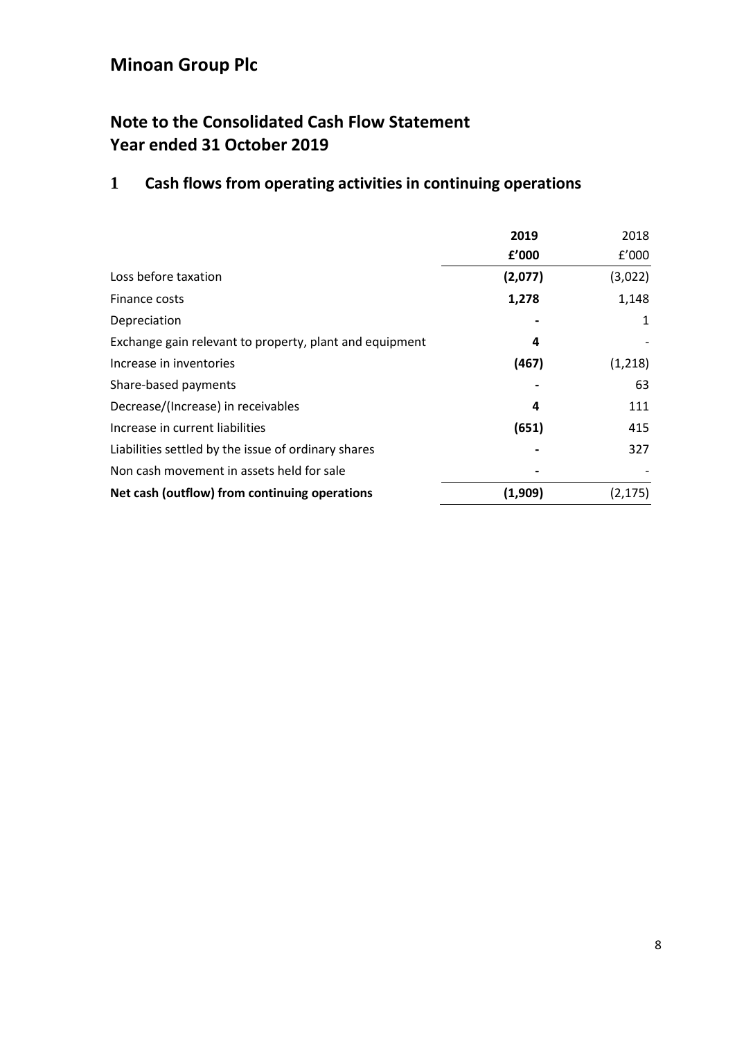## **Note to the Consolidated Cash Flow Statement Year ended 31 October 2019**

# **1 Cash flows from operating activities in continuing operations**

|                                                         | 2019    | 2018     |
|---------------------------------------------------------|---------|----------|
|                                                         | f'000   | f'000    |
| Loss before taxation                                    | (2,077) | (3,022)  |
| Finance costs                                           | 1,278   | 1,148    |
| Depreciation                                            |         | 1        |
| Exchange gain relevant to property, plant and equipment | 4       |          |
| Increase in inventories                                 | (467)   | (1,218)  |
| Share-based payments                                    |         | 63       |
| Decrease/(Increase) in receivables                      | 4       | 111      |
| Increase in current liabilities                         | (651)   | 415      |
| Liabilities settled by the issue of ordinary shares     |         | 327      |
| Non cash movement in assets held for sale               |         |          |
| Net cash (outflow) from continuing operations           | (1,909) | (2, 175) |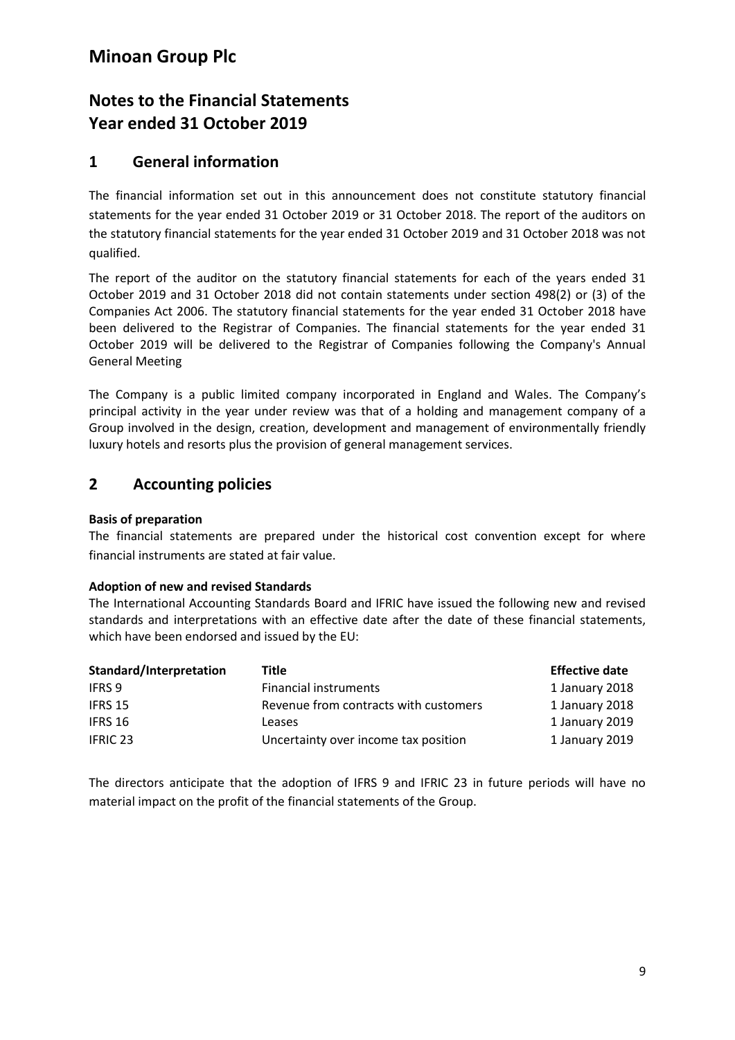### **Notes to the Financial Statements Year ended 31 October 2019**

### **1 General information**

The financial information set out in this announcement does not constitute statutory financial statements for the year ended 31 October 2019 or 31 October 2018. The report of the auditors on the statutory financial statements for the year ended 31 October 2019 and 31 October 2018 was not qualified.

The report of the auditor on the statutory financial statements for each of the years ended 31 October 2019 and 31 October 2018 did not contain statements under section 498(2) or (3) of the Companies Act 2006. The statutory financial statements for the year ended 31 October 2018 have been delivered to the Registrar of Companies. The financial statements for the year ended 31 October 2019 will be delivered to the Registrar of Companies following the Company's Annual General Meeting

The Company is a public limited company incorporated in England and Wales. The Company's principal activity in the year under review was that of a holding and management company of a Group involved in the design, creation, development and management of environmentally friendly luxury hotels and resorts plus the provision of general management services.

### **2 Accounting policies**

### **Basis of preparation**

The financial statements are prepared under the historical cost convention except for where financial instruments are stated at fair value.

### **Adoption of new and revised Standards**

The International Accounting Standards Board and IFRIC have issued the following new and revised standards and interpretations with an effective date after the date of these financial statements, which have been endorsed and issued by the EU:

| Standard/Interpretation | Title                                 | <b>Effective date</b> |
|-------------------------|---------------------------------------|-----------------------|
| <b>IFRS 9</b>           | Financial instruments                 | 1 January 2018        |
| IFRS 15                 | Revenue from contracts with customers | 1 January 2018        |
| IFRS 16                 | Leases                                | 1 January 2019        |
| <b>IFRIC 23</b>         | Uncertainty over income tax position  | 1 January 2019        |

The directors anticipate that the adoption of IFRS 9 and IFRIC 23 in future periods will have no material impact on the profit of the financial statements of the Group.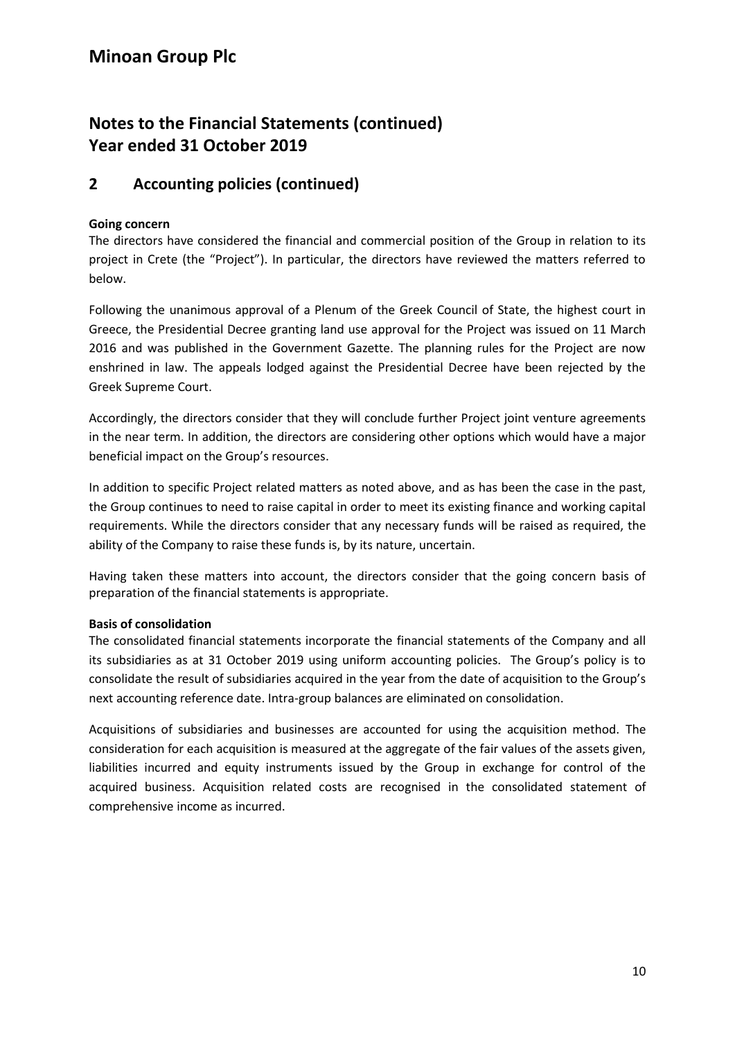## **Notes to the Financial Statements (continued) Year ended 31 October 2019**

### **2 Accounting policies (continued)**

### **Going concern**

The directors have considered the financial and commercial position of the Group in relation to its project in Crete (the "Project"). In particular, the directors have reviewed the matters referred to below.

Following the unanimous approval of a Plenum of the Greek Council of State, the highest court in Greece, the Presidential Decree granting land use approval for the Project was issued on 11 March 2016 and was published in the Government Gazette. The planning rules for the Project are now enshrined in law. The appeals lodged against the Presidential Decree have been rejected by the Greek Supreme Court.

Accordingly, the directors consider that they will conclude further Project joint venture agreements in the near term. In addition, the directors are considering other options which would have a major beneficial impact on the Group's resources.

In addition to specific Project related matters as noted above, and as has been the case in the past, the Group continues to need to raise capital in order to meet its existing finance and working capital requirements. While the directors consider that any necessary funds will be raised as required, the ability of the Company to raise these funds is, by its nature, uncertain.

Having taken these matters into account, the directors consider that the going concern basis of preparation of the financial statements is appropriate.

### **Basis of consolidation**

The consolidated financial statements incorporate the financial statements of the Company and all its subsidiaries as at 31 October 2019 using uniform accounting policies. The Group's policy is to consolidate the result of subsidiaries acquired in the year from the date of acquisition to the Group's next accounting reference date. Intra-group balances are eliminated on consolidation.

Acquisitions of subsidiaries and businesses are accounted for using the acquisition method. The consideration for each acquisition is measured at the aggregate of the fair values of the assets given, liabilities incurred and equity instruments issued by the Group in exchange for control of the acquired business. Acquisition related costs are recognised in the consolidated statement of comprehensive income as incurred.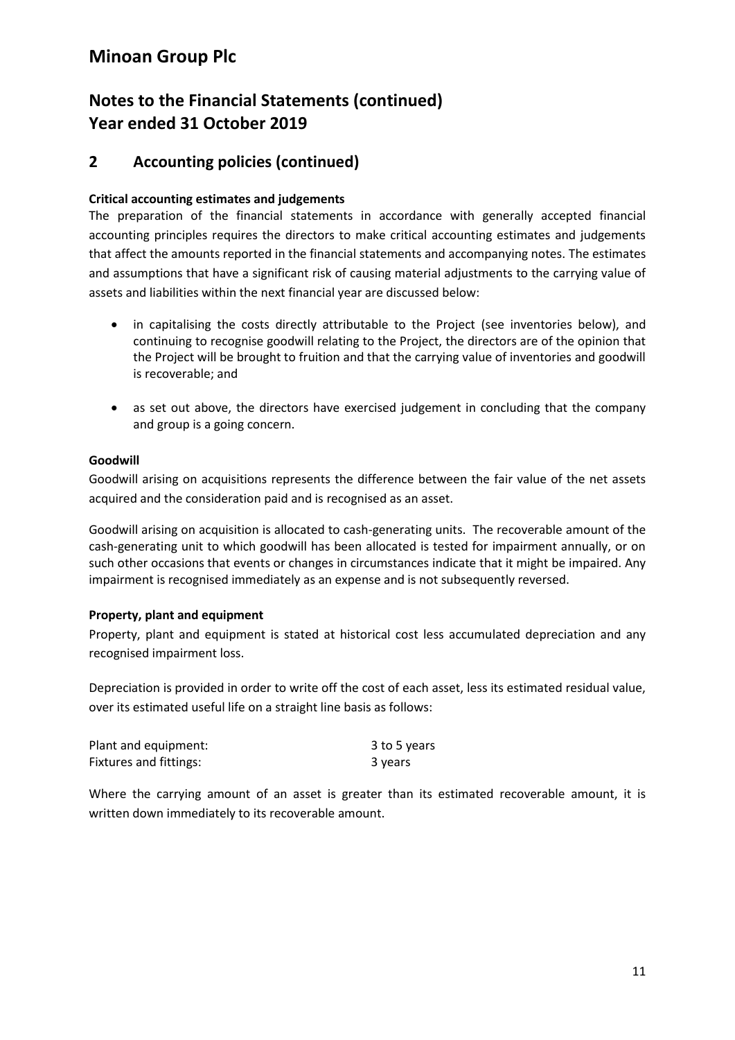### **Notes to the Financial Statements (continued) Year ended 31 October 2019**

### **2 Accounting policies (continued)**

### **Critical accounting estimates and judgements**

The preparation of the financial statements in accordance with generally accepted financial accounting principles requires the directors to make critical accounting estimates and judgements that affect the amounts reported in the financial statements and accompanying notes. The estimates and assumptions that have a significant risk of causing material adjustments to the carrying value of assets and liabilities within the next financial year are discussed below:

- in capitalising the costs directly attributable to the Project (see inventories below), and continuing to recognise goodwill relating to the Project, the directors are of the opinion that the Project will be brought to fruition and that the carrying value of inventories and goodwill is recoverable; and
- as set out above, the directors have exercised judgement in concluding that the company and group is a going concern.

#### **Goodwill**

Goodwill arising on acquisitions represents the difference between the fair value of the net assets acquired and the consideration paid and is recognised as an asset.

Goodwill arising on acquisition is allocated to cash-generating units. The recoverable amount of the cash-generating unit to which goodwill has been allocated is tested for impairment annually, or on such other occasions that events or changes in circumstances indicate that it might be impaired. Any impairment is recognised immediately as an expense and is not subsequently reversed.

### **Property, plant and equipment**

Property, plant and equipment is stated at historical cost less accumulated depreciation and any recognised impairment loss.

Depreciation is provided in order to write off the cost of each asset, less its estimated residual value, over its estimated useful life on a straight line basis as follows:

| Plant and equipment:   | 3 to 5 years |
|------------------------|--------------|
| Fixtures and fittings: | 3 years      |

Where the carrying amount of an asset is greater than its estimated recoverable amount, it is written down immediately to its recoverable amount.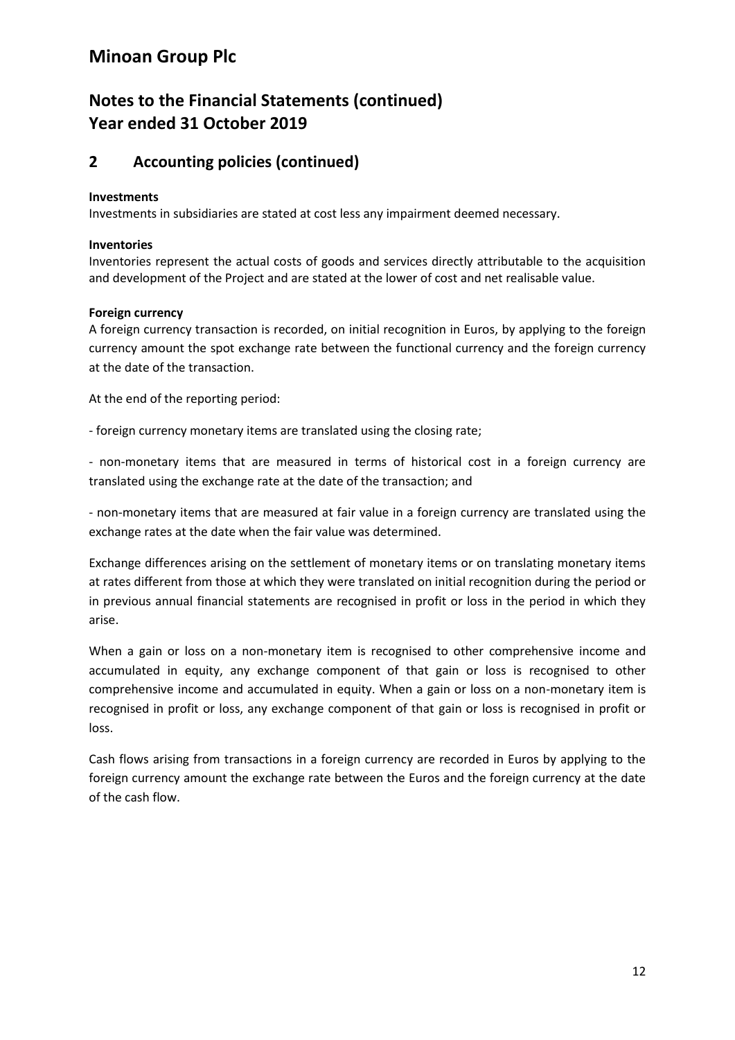## **Notes to the Financial Statements (continued) Year ended 31 October 2019**

### **2 Accounting policies (continued)**

#### **Investments**

Investments in subsidiaries are stated at cost less any impairment deemed necessary.

#### **Inventories**

Inventories represent the actual costs of goods and services directly attributable to the acquisition and development of the Project and are stated at the lower of cost and net realisable value.

### **Foreign currency**

A foreign currency transaction is recorded, on initial recognition in Euros, by applying to the foreign currency amount the spot exchange rate between the functional currency and the foreign currency at the date of the transaction.

At the end of the reporting period:

- foreign currency monetary items are translated using the closing rate;

- non-monetary items that are measured in terms of historical cost in a foreign currency are translated using the exchange rate at the date of the transaction; and

- non-monetary items that are measured at fair value in a foreign currency are translated using the exchange rates at the date when the fair value was determined.

Exchange differences arising on the settlement of monetary items or on translating monetary items at rates different from those at which they were translated on initial recognition during the period or in previous annual financial statements are recognised in profit or loss in the period in which they arise.

When a gain or loss on a non-monetary item is recognised to other comprehensive income and accumulated in equity, any exchange component of that gain or loss is recognised to other comprehensive income and accumulated in equity. When a gain or loss on a non-monetary item is recognised in profit or loss, any exchange component of that gain or loss is recognised in profit or loss.

Cash flows arising from transactions in a foreign currency are recorded in Euros by applying to the foreign currency amount the exchange rate between the Euros and the foreign currency at the date of the cash flow.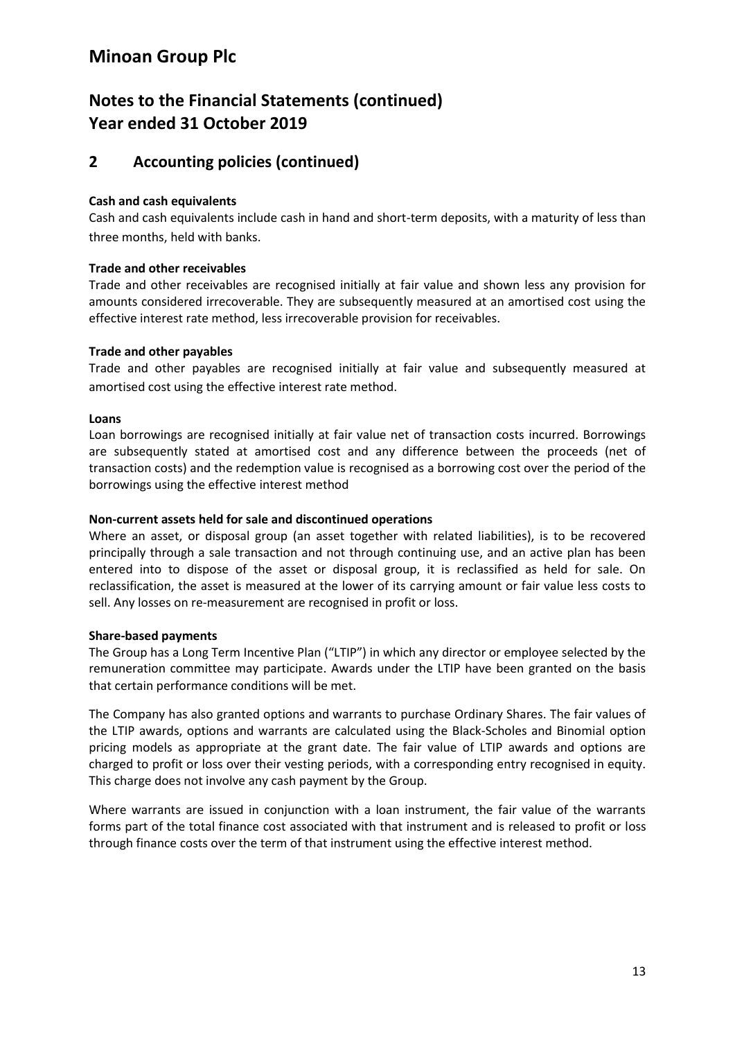## **Notes to the Financial Statements (continued) Year ended 31 October 2019**

### **2 Accounting policies (continued)**

### **Cash and cash equivalents**

Cash and cash equivalents include cash in hand and short-term deposits, with a maturity of less than three months, held with banks.

### **Trade and other receivables**

Trade and other receivables are recognised initially at fair value and shown less any provision for amounts considered irrecoverable. They are subsequently measured at an amortised cost using the effective interest rate method, less irrecoverable provision for receivables.

### **Trade and other payables**

Trade and other payables are recognised initially at fair value and subsequently measured at amortised cost using the effective interest rate method.

### **Loans**

Loan borrowings are recognised initially at fair value net of transaction costs incurred. Borrowings are subsequently stated at amortised cost and any difference between the proceeds (net of transaction costs) and the redemption value is recognised as a borrowing cost over the period of the borrowings using the effective interest method

### **Non-current assets held for sale and discontinued operations**

Where an asset, or disposal group (an asset together with related liabilities), is to be recovered principally through a sale transaction and not through continuing use, and an active plan has been entered into to dispose of the asset or disposal group, it is reclassified as held for sale. On reclassification, the asset is measured at the lower of its carrying amount or fair value less costs to sell. Any losses on re-measurement are recognised in profit or loss.

### **Share-based payments**

The Group has a Long Term Incentive Plan ("LTIP") in which any director or employee selected by the remuneration committee may participate. Awards under the LTIP have been granted on the basis that certain performance conditions will be met.

The Company has also granted options and warrants to purchase Ordinary Shares. The fair values of the LTIP awards, options and warrants are calculated using the Black-Scholes and Binomial option pricing models as appropriate at the grant date. The fair value of LTIP awards and options are charged to profit or loss over their vesting periods, with a corresponding entry recognised in equity. This charge does not involve any cash payment by the Group.

Where warrants are issued in conjunction with a loan instrument, the fair value of the warrants forms part of the total finance cost associated with that instrument and is released to profit or loss through finance costs over the term of that instrument using the effective interest method.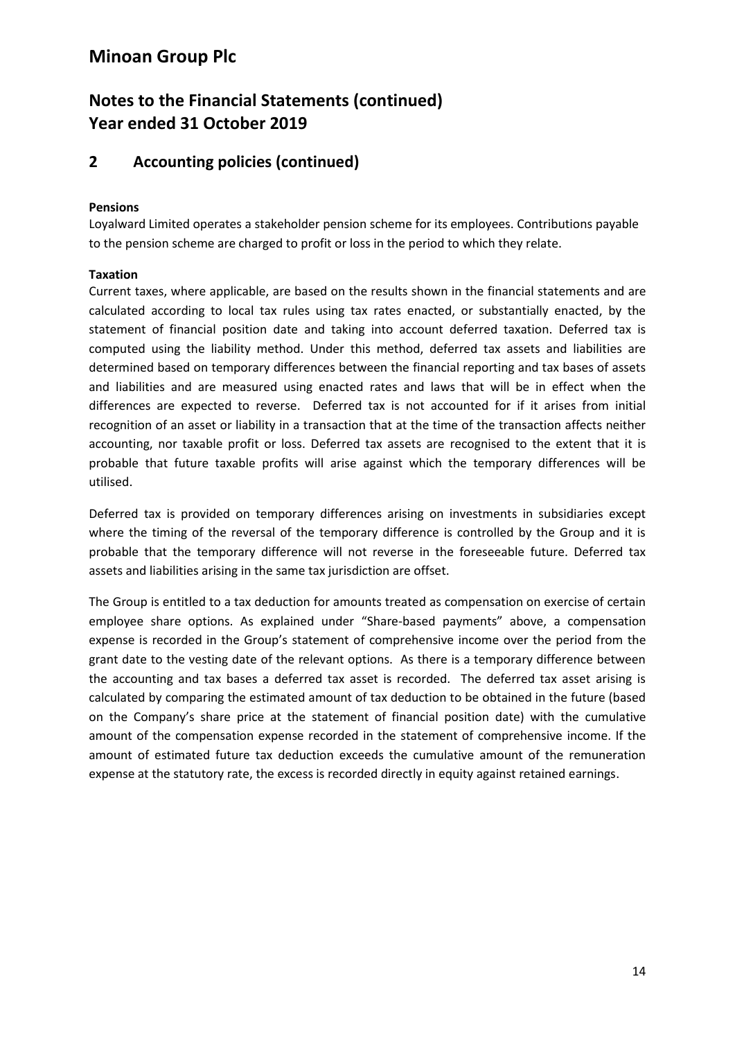## **Notes to the Financial Statements (continued) Year ended 31 October 2019**

### **2 Accounting policies (continued)**

### **Pensions**

Loyalward Limited operates a stakeholder pension scheme for its employees. Contributions payable to the pension scheme are charged to profit or loss in the period to which they relate.

### **Taxation**

Current taxes, where applicable, are based on the results shown in the financial statements and are calculated according to local tax rules using tax rates enacted, or substantially enacted, by the statement of financial position date and taking into account deferred taxation. Deferred tax is computed using the liability method. Under this method, deferred tax assets and liabilities are determined based on temporary differences between the financial reporting and tax bases of assets and liabilities and are measured using enacted rates and laws that will be in effect when the differences are expected to reverse. Deferred tax is not accounted for if it arises from initial recognition of an asset or liability in a transaction that at the time of the transaction affects neither accounting, nor taxable profit or loss. Deferred tax assets are recognised to the extent that it is probable that future taxable profits will arise against which the temporary differences will be utilised.

Deferred tax is provided on temporary differences arising on investments in subsidiaries except where the timing of the reversal of the temporary difference is controlled by the Group and it is probable that the temporary difference will not reverse in the foreseeable future. Deferred tax assets and liabilities arising in the same tax jurisdiction are offset.

The Group is entitled to a tax deduction for amounts treated as compensation on exercise of certain employee share options. As explained under "Share-based payments" above, a compensation expense is recorded in the Group's statement of comprehensive income over the period from the grant date to the vesting date of the relevant options. As there is a temporary difference between the accounting and tax bases a deferred tax asset is recorded. The deferred tax asset arising is calculated by comparing the estimated amount of tax deduction to be obtained in the future (based on the Company's share price at the statement of financial position date) with the cumulative amount of the compensation expense recorded in the statement of comprehensive income. If the amount of estimated future tax deduction exceeds the cumulative amount of the remuneration expense at the statutory rate, the excess is recorded directly in equity against retained earnings.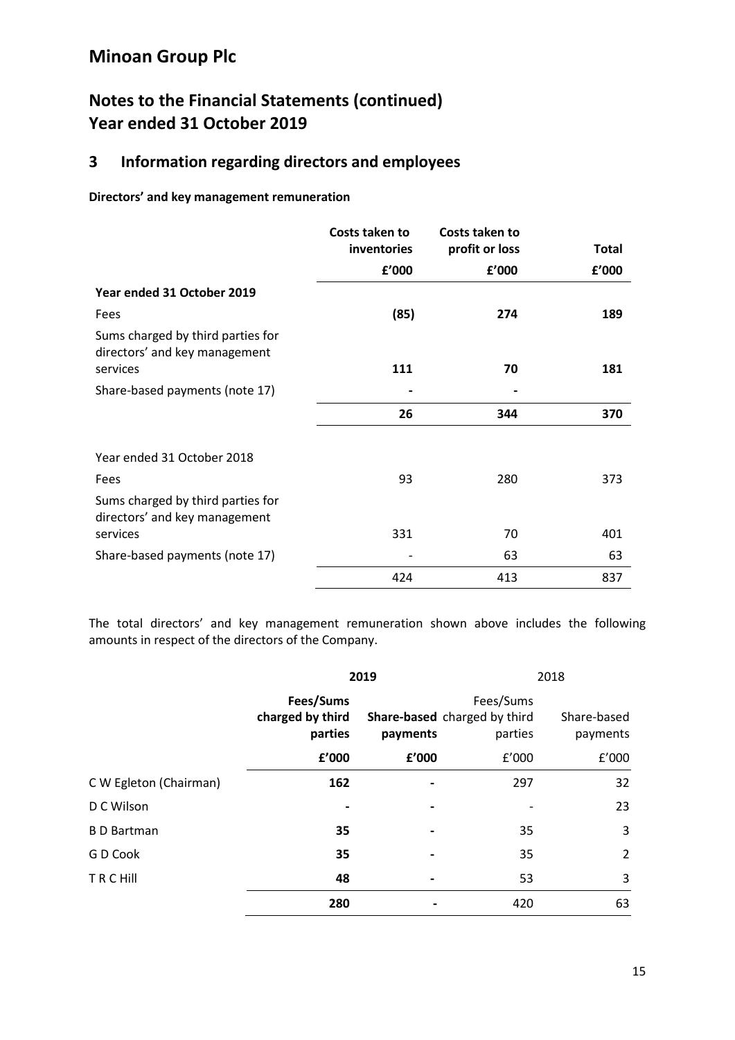## **Notes to the Financial Statements (continued) Year ended 31 October 2019**

### **3 Information regarding directors and employees**

**Directors' and key management remuneration**

|                                                                                | Costs taken to<br>inventories | Costs taken to<br>profit or loss | <b>Total</b> |
|--------------------------------------------------------------------------------|-------------------------------|----------------------------------|--------------|
|                                                                                | f'000                         | f'000                            | f'000        |
| Year ended 31 October 2019                                                     |                               |                                  |              |
| Fees                                                                           | (85)                          | 274                              | 189          |
| Sums charged by third parties for<br>directors' and key management<br>services | 111                           | 70                               | 181          |
| Share-based payments (note 17)                                                 |                               |                                  |              |
|                                                                                | 26                            | 344                              | 370          |
| Year ended 31 October 2018                                                     |                               |                                  |              |
| Fees                                                                           | 93                            | 280                              | 373          |
| Sums charged by third parties for<br>directors' and key management             |                               |                                  |              |
| services                                                                       | 331                           | 70                               | 401          |
| Share-based payments (note 17)                                                 |                               | 63                               | 63           |
|                                                                                | 424                           | 413                              | 837          |

The total directors' and key management remuneration shown above includes the following amounts in respect of the directors of the Company.

|                        | 2019                                     |          |                                                      | 2018                    |
|------------------------|------------------------------------------|----------|------------------------------------------------------|-------------------------|
|                        | Fees/Sums<br>charged by third<br>parties | payments | Fees/Sums<br>Share-based charged by third<br>parties | Share-based<br>payments |
|                        | £'000                                    | £'000    | f'000                                                | f'000                   |
| C W Egleton (Chairman) | 162                                      |          | 297                                                  | 32                      |
| D C Wilson             |                                          |          |                                                      | 23                      |
| <b>B</b> D Bartman     | 35                                       |          | 35                                                   | 3                       |
| G D Cook               | 35                                       |          | 35                                                   | $\overline{2}$          |
| <b>TRCHIII</b>         | 48                                       |          | 53                                                   | 3                       |
|                        | 280                                      |          | 420                                                  | 63                      |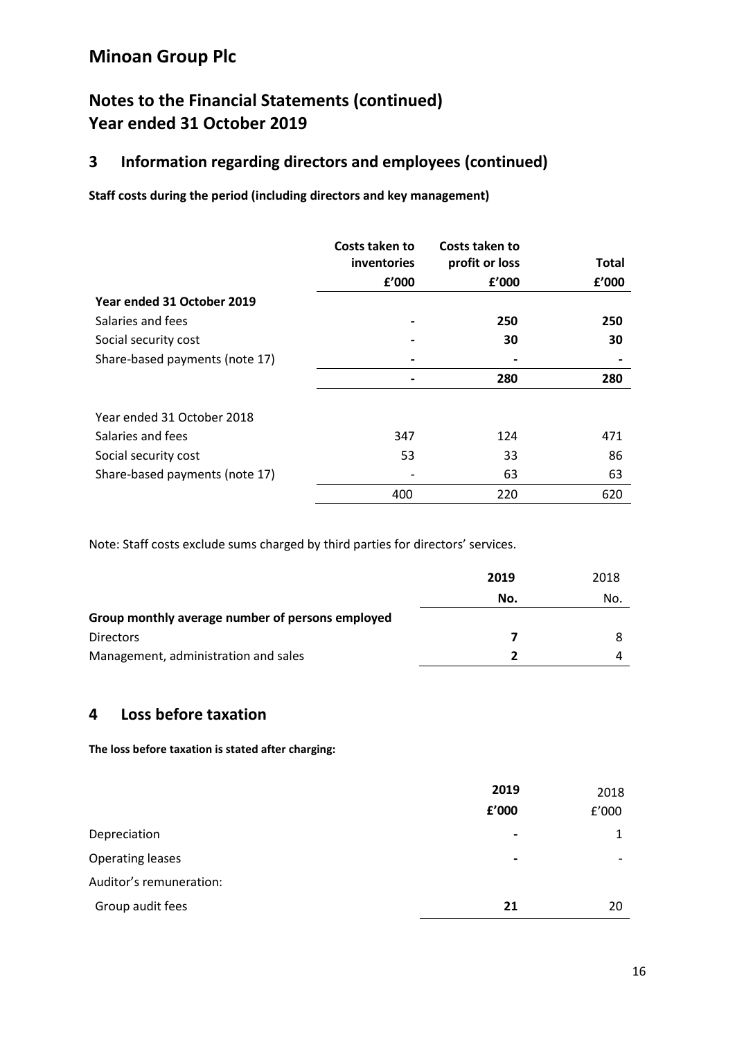### **Notes to the Financial Statements (continued) Year ended 31 October 2019**

### **3 Information regarding directors and employees (continued)**

**Staff costs during the period (including directors and key management)**

|                                | Costs taken to     | Costs taken to |       |
|--------------------------------|--------------------|----------------|-------|
|                                | <i>inventories</i> | profit or loss | Total |
|                                | £'000              | £'000          | £'000 |
| Year ended 31 October 2019     |                    |                |       |
| Salaries and fees              |                    | 250            | 250   |
| Social security cost           |                    | 30             | 30    |
| Share-based payments (note 17) |                    |                |       |
|                                |                    | 280            | 280   |
| Year ended 31 October 2018     |                    |                |       |
| Salaries and fees              | 347                | 124            | 471   |
| Social security cost           | 53                 | 33             | 86    |
| Share-based payments (note 17) |                    | 63             | 63    |
|                                | 400                | 220            | 620   |

Note: Staff costs exclude sums charged by third parties for directors' services.

|                                                  | 2019 | 2018 |
|--------------------------------------------------|------|------|
|                                                  | No.  | No.  |
| Group monthly average number of persons employed |      |      |
| <b>Directors</b>                                 |      |      |
| Management, administration and sales             |      |      |

### **4 Loss before taxation**

**The loss before taxation is stated after charging:**

|                         | 2019<br>f'000  | 2018<br>f'000 |
|-------------------------|----------------|---------------|
| Depreciation            | $\blacksquare$ | 1             |
| <b>Operating leases</b> | $\blacksquare$ |               |
| Auditor's remuneration: |                |               |
| Group audit fees        | 21             | 20            |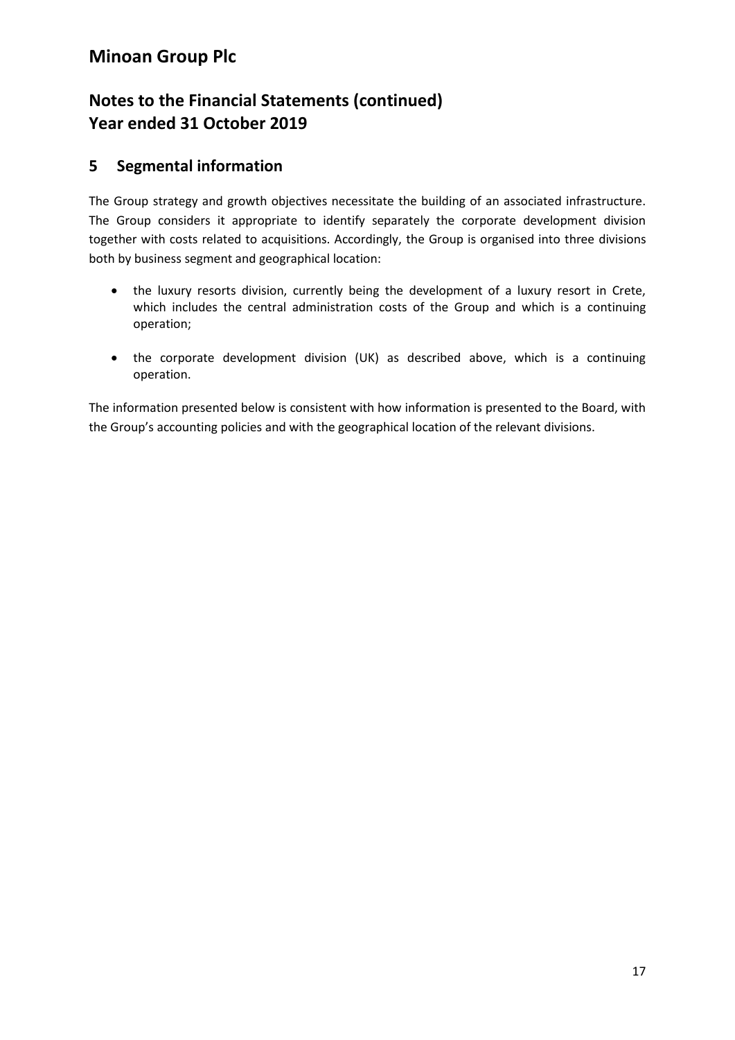## **Notes to the Financial Statements (continued) Year ended 31 October 2019**

### **5 Segmental information**

The Group strategy and growth objectives necessitate the building of an associated infrastructure. The Group considers it appropriate to identify separately the corporate development division together with costs related to acquisitions. Accordingly, the Group is organised into three divisions both by business segment and geographical location:

- the luxury resorts division, currently being the development of a luxury resort in Crete, which includes the central administration costs of the Group and which is a continuing operation;
- the corporate development division (UK) as described above, which is a continuing operation.

The information presented below is consistent with how information is presented to the Board, with the Group's accounting policies and with the geographical location of the relevant divisions.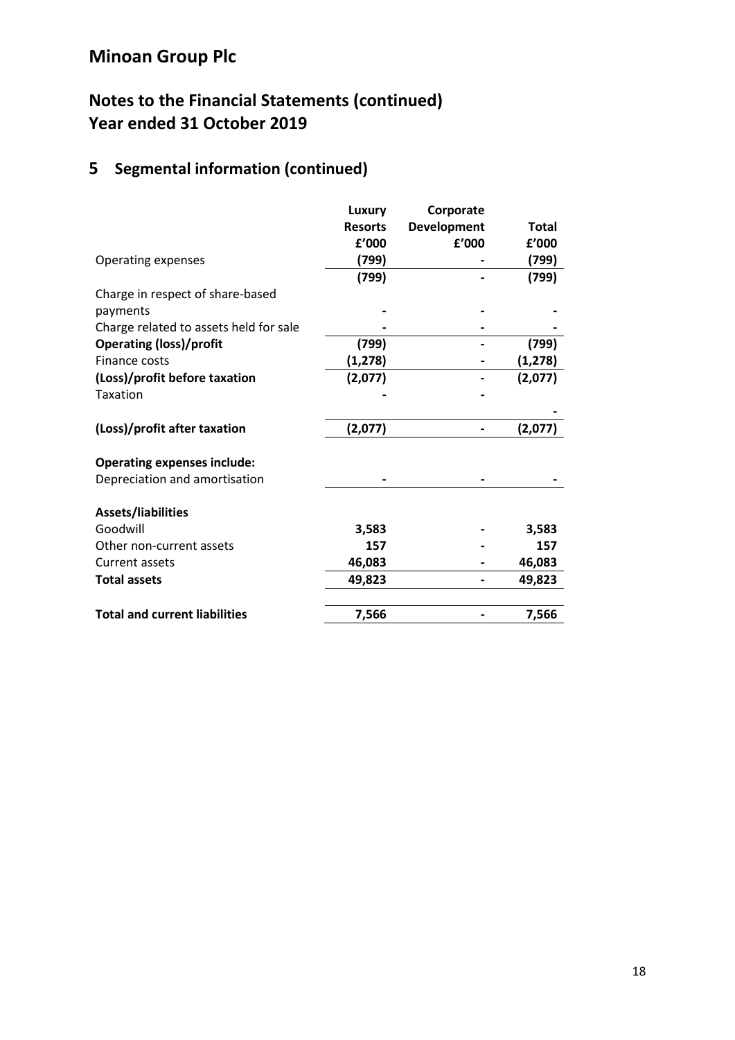# **Notes to the Financial Statements (continued) Year ended 31 October 2019**

# **5 Segmental information (continued)**

|                                        | Luxury         | Corporate          |          |
|----------------------------------------|----------------|--------------------|----------|
|                                        | <b>Resorts</b> | <b>Development</b> | Total    |
|                                        | £'000          | £'000              | f'000    |
| Operating expenses                     | (799)          |                    | (799)    |
|                                        | (799)          |                    | (799)    |
| Charge in respect of share-based       |                |                    |          |
| payments                               |                |                    |          |
| Charge related to assets held for sale |                |                    |          |
| <b>Operating (loss)/profit</b>         | (799)          |                    | (799)    |
| Finance costs                          | (1, 278)       |                    | (1, 278) |
| (Loss)/profit before taxation          | (2,077)        |                    | (2,077)  |
| <b>Taxation</b>                        |                |                    |          |
|                                        |                |                    |          |
| (Loss)/profit after taxation           | (2,077)        |                    | (2,077)  |
| <b>Operating expenses include:</b>     |                |                    |          |
| Depreciation and amortisation          |                |                    |          |
| Assets/liabilities                     |                |                    |          |
| Goodwill                               | 3,583          |                    | 3,583    |
| Other non-current assets               | 157            |                    | 157      |
| Current assets                         | 46,083         |                    | 46,083   |
| <b>Total assets</b>                    | 49,823         |                    | 49,823   |
|                                        |                |                    |          |
| <b>Total and current liabilities</b>   | 7,566          |                    | 7,566    |
|                                        |                |                    |          |